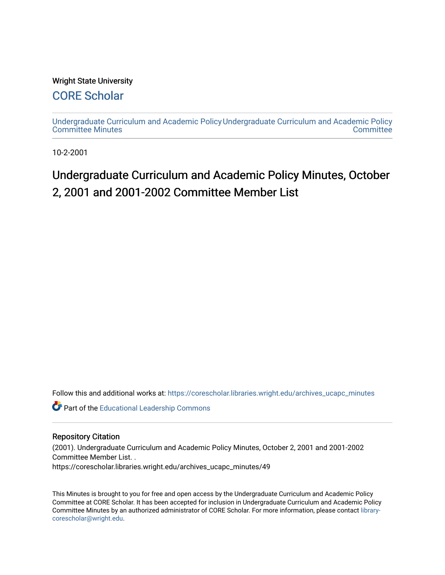### Wright State University

### [CORE Scholar](https://corescholar.libraries.wright.edu/)

[Undergraduate Curriculum and Academic Policy](https://corescholar.libraries.wright.edu/archives_ucapc_minutes) [Undergraduate Curriculum and Academic Policy](https://corescholar.libraries.wright.edu/archives_ucapc)  [Committee Minutes](https://corescholar.libraries.wright.edu/archives_ucapc_minutes) **Committee** 

10-2-2001

## Undergraduate Curriculum and Academic Policy Minutes, October 2, 2001 and 2001-2002 Committee Member List

Follow this and additional works at: [https://corescholar.libraries.wright.edu/archives\\_ucapc\\_minutes](https://corescholar.libraries.wright.edu/archives_ucapc_minutes?utm_source=corescholar.libraries.wright.edu%2Farchives_ucapc_minutes%2F49&utm_medium=PDF&utm_campaign=PDFCoverPages) 

Part of the [Educational Leadership Commons](http://network.bepress.com/hgg/discipline/1230?utm_source=corescholar.libraries.wright.edu%2Farchives_ucapc_minutes%2F49&utm_medium=PDF&utm_campaign=PDFCoverPages) 

#### Repository Citation

(2001). Undergraduate Curriculum and Academic Policy Minutes, October 2, 2001 and 2001-2002 Committee Member List. . https://corescholar.libraries.wright.edu/archives\_ucapc\_minutes/49

This Minutes is brought to you for free and open access by the Undergraduate Curriculum and Academic Policy Committee at CORE Scholar. It has been accepted for inclusion in Undergraduate Curriculum and Academic Policy Committee Minutes by an authorized administrator of CORE Scholar. For more information, please contact [library](mailto:library-corescholar@wright.edu)[corescholar@wright.edu](mailto:library-corescholar@wright.edu).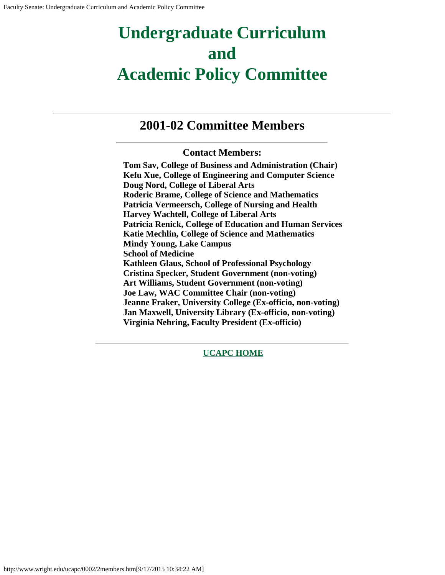## **Undergraduate Curriculum and Academic Policy Committee**

### **2001-02 Committee Members**

### **Contact Members:**

**Tom Sav, College of Business and Administration (Chair) Kefu Xue, College of Engineering and Computer Science Doug Nord, College of Liberal Arts Roderic Brame, College of Science and Mathematics Patricia Vermeersch, College of Nursing and Health Harvey Wachtell, College of Liberal Arts Patricia Renick, College of Education and Human Services Katie Mechlin, College of Science and Mathematics Mindy Young, Lake Campus School of Medicine Kathleen Glaus, School of Professional Psychology Cristina Specker, Student Government (non-voting) Art Williams, Student Government (non-voting) Joe Law, WAC Committee Chair (non-voting) Jeanne Fraker, University College (Ex-officio, non-voting) Jan Maxwell, University Library (Ex-officio, non-voting) Virginia Nehring, Faculty President (Ex-officio)**

**[UCAPC HOME](http://www.wright.edu/ucapc/index.htm)**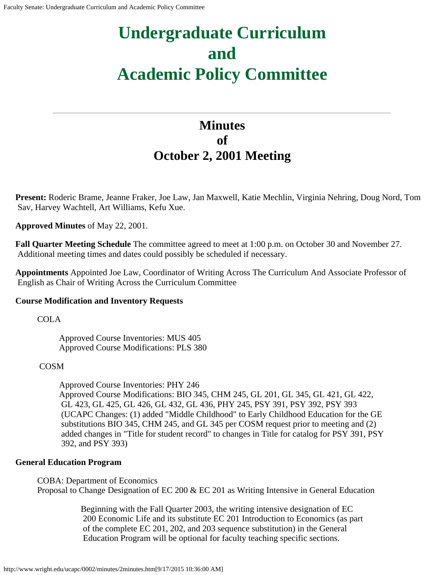# **Undergraduate Curriculum and Academic Policy Committee**

### **Minutes of October 2, 2001 Meeting**

**Present:** Roderic Brame, Jeanne Fraker, Joe Law, Jan Maxwell, Katie Mechlin, Virginia Nehring, Doug Nord, Tom Sav, Harvey Wachtell, Art Williams, Kefu Xue.

**Approved Minutes** of May 22, 2001.

**Fall Quarter Meeting Schedule** The committee agreed to meet at 1:00 p.m. on October 30 and November 27. Additional meeting times and dates could possibly be scheduled if necessary.

**Appointments** Appointed Joe Law, Coordinator of Writing Across The Curriculum And Associate Professor of English as Chair of Writing Across the Curriculum Committee

### **Course Modification and Inventory Requests**

COLA

Approved Course Inventories: MUS 405 Approved Course Modifications: PLS 380

#### COSM

Approved Course Inventories: PHY 246 Approved Course Modifications: BIO 345, CHM 245, GL 201, GL 345, GL 421, GL 422, GL 423, GL 425, GL 426, GL 432, GL 436, PHY 245, PSY 391, PSY 392, PSY 393 (UCAPC Changes: (1) added "Middle Childhood" to Early Childhood Education for the GE substitutions BIO 345, CHM 245, and GL 345 per COSM request prior to meeting and (2) added changes in "Title for student record" to changes in Title for catalog for PSY 391, PSY 392, and PSY 393)

### **General Education Program**

COBA: Department of Economics Proposal to Change Designation of EC 200 & EC 201 as Writing Intensive in General Education

> Beginning with the Fall Quarter 2003, the writing intensive designation of EC 200 Economic Life and its substitute EC 201 Introduction to Economics (as part of the complete EC 201, 202, and 203 sequence substitution) in the General Education Program will be optional for faculty teaching specific sections.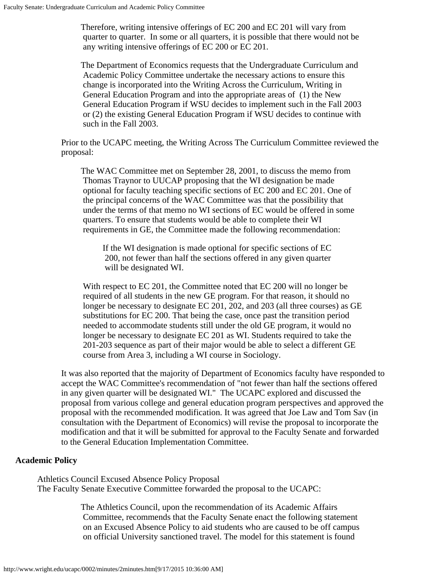Therefore, writing intensive offerings of EC 200 and EC 201 will vary from quarter to quarter. In some or all quarters, it is possible that there would not be any writing intensive offerings of EC 200 or EC 201.

The Department of Economics requests that the Undergraduate Curriculum and Academic Policy Committee undertake the necessary actions to ensure this change is incorporated into the Writing Across the Curriculum, Writing in General Education Program and into the appropriate areas of (1) the New General Education Program if WSU decides to implement such in the Fall 2003 or (2) the existing General Education Program if WSU decides to continue with such in the Fall 2003.

Prior to the UCAPC meeting, the Writing Across The Curriculum Committee reviewed the proposal:

The WAC Committee met on September 28, 2001, to discuss the memo from Thomas Traynor to UUCAP proposing that the WI designation be made optional for faculty teaching specific sections of EC 200 and EC 201. One of the principal concerns of the WAC Committee was that the possibility that under the terms of that memo no WI sections of EC would be offered in some quarters. To ensure that students would be able to complete their WI requirements in GE, the Committee made the following recommendation:

If the WI designation is made optional for specific sections of EC 200, not fewer than half the sections offered in any given quarter will be designated WI.

With respect to EC 201, the Committee noted that EC 200 will no longer be required of all students in the new GE program. For that reason, it should no longer be necessary to designate EC 201, 202, and 203 (all three courses) as GE substitutions for EC 200. That being the case, once past the transition period needed to accommodate students still under the old GE program, it would no longer be necessary to designate EC 201 as WI. Students required to take the 201-203 sequence as part of their major would be able to select a different GE course from Area 3, including a WI course in Sociology.

It was also reported that the majority of Department of Economics faculty have responded to accept the WAC Committee's recommendation of "not fewer than half the sections offered in any given quarter will be designated WI." The UCAPC explored and discussed the proposal from various college and general education program perspectives and approved the proposal with the recommended modification. It was agreed that Joe Law and Tom Sav (in consultation with the Department of Economics) will revise the proposal to incorporate the modification and that it will be submitted for approval to the Faculty Senate and forwarded to the General Education Implementation Committee.

#### **Academic Policy**

Athletics Council Excused Absence Policy Proposal The Faculty Senate Executive Committee forwarded the proposal to the UCAPC:

> The Athletics Council, upon the recommendation of its Academic Affairs Committee, recommends that the Faculty Senate enact the following statement on an Excused Absence Policy to aid students who are caused to be off campus on official University sanctioned travel. The model for this statement is found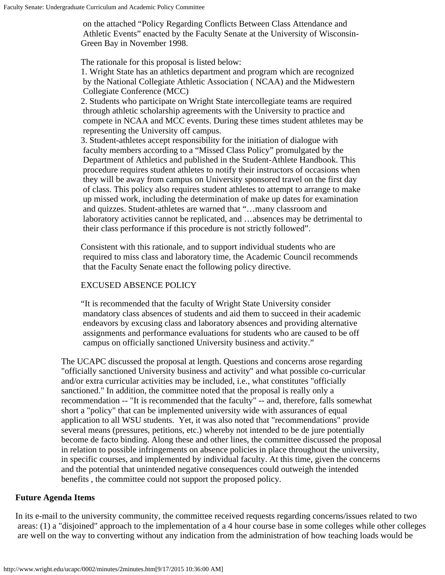on the attached "Policy Regarding Conflicts Between Class Attendance and Athletic Events" enacted by the Faculty Senate at the University of Wisconsin-Green Bay in November 1998.

The rationale for this proposal is listed below:

1. Wright State has an athletics department and program which are recognized by the National Collegiate Athletic Association ( NCAA) and the Midwestern Collegiate Conference (MCC)

2. Students who participate on Wright State intercollegiate teams are required through athletic scholarship agreements with the University to practice and compete in NCAA and MCC events. During these times student athletes may be representing the University off campus.

3. Student-athletes accept responsibility for the initiation of dialogue with faculty members according to a "Missed Class Policy" promulgated by the Department of Athletics and published in the Student-Athlete Handbook. This procedure requires student athletes to notify their instructors of occasions when they will be away from campus on University sponsored travel on the first day of class. This policy also requires student athletes to attempt to arrange to make up missed work, including the determination of make up dates for examination and quizzes. Student-athletes are warned that "…many classroom and laboratory activities cannot be replicated, and …absences may be detrimental to their class performance if this procedure is not strictly followed".

Consistent with this rationale, and to support individual students who are required to miss class and laboratory time, the Academic Council recommends that the Faculty Senate enact the following policy directive.

### EXCUSED ABSENCE POLICY

"It is recommended that the faculty of Wright State University consider mandatory class absences of students and aid them to succeed in their academic endeavors by excusing class and laboratory absences and providing alternative assignments and performance evaluations for students who are caused to be off campus on officially sanctioned University business and activity."

The UCAPC discussed the proposal at length. Questions and concerns arose regarding "officially sanctioned University business and activity" and what possible co-curricular and/or extra curricular activities may be included, i.e., what constitutes "officially sanctioned." In addition, the committee noted that the proposal is really only a recommendation -- "It is recommended that the faculty" -- and, therefore, falls somewhat short a "policy" that can be implemented university wide with assurances of equal application to all WSU students. Yet, it was also noted that "recommendations" provide several means (pressures, petitions, etc.) whereby not intended to be de jure potentially become de facto binding. Along these and other lines, the committee discussed the proposal in relation to possible infringements on absence policies in place throughout the university, in specific courses, and implemented by individual faculty. At this time, given the concerns and the potential that unintended negative consequences could outweigh the intended benefits , the committee could not support the proposed policy.

### **Future Agenda Items**

In its e-mail to the university community, the committee received requests regarding concerns/issues related to two areas: (1) a "disjoined" approach to the implementation of a 4 hour course base in some colleges while other colleges are well on the way to converting without any indication from the administration of how teaching loads would be